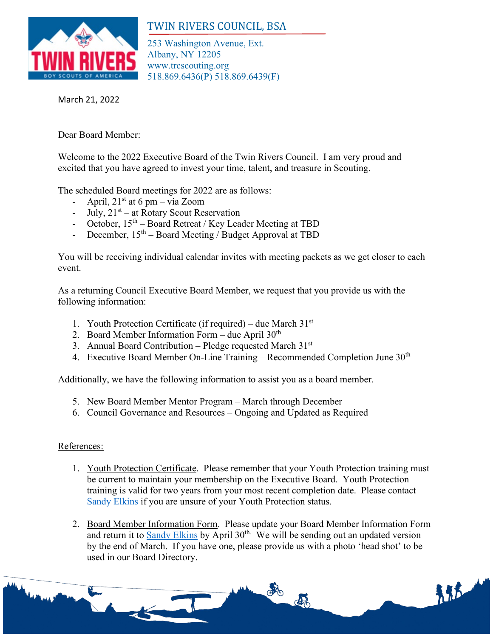

## TWIN RIVERS COUNCIL, BSA

253 Washington Avenue, Ext. Albany, NY 12205 www.trcscouting.org 518.869.6436(P) 518.869.6439(F)

March 21, 2022

Dear Board Member:

Welcome to the 2022 Executive Board of the Twin Rivers Council. I am very proud and excited that you have agreed to invest your time, talent, and treasure in Scouting.

The scheduled Board meetings for 2022 are as follows:

- April,  $21<sup>st</sup>$  at 6 pm via Zoom
- July,  $21<sup>st</sup>$  at Rotary Scout Reservation
- October,  $15<sup>th</sup>$  Board Retreat / Key Leader Meeting at TBD
- December,  $15<sup>th</sup>$  Board Meeting / Budget Approval at TBD

You will be receiving individual calendar invites with meeting packets as we get closer to each event.

As a returning Council Executive Board Member, we request that you provide us with the following information:

- 1. Youth Protection Certificate (if required) due March  $31<sup>st</sup>$
- 2. Board Member Information Form due April  $30<sup>th</sup>$
- 3. Annual Board Contribution Pledge requested March  $31<sup>st</sup>$
- 4. Executive Board Member On-Line Training Recommended Completion June  $30<sup>th</sup>$

Additionally, we have the following information to assist you as a board member.

- 5. New Board Member Mentor Program March through December
- 6. Council Governance and Resources Ongoing and Updated as Required

## References:

- 1. Youth Protection Certificate. Please remember that your Youth Protection training must be current to maintain your membership on the Executive Board. Youth Protection training is valid for two years from your most recent completion date. Please contact [Sandy Elkins](mailto:sandy.elkins@scouting.org) if you are unsure of your Youth Protection status.
- 2. Board Member Information Form. Please update your Board Member Information Form and return it to [Sandy Elkins](mailto:sandy.elkins@scouting.org) by April 30<sup>th.</sup> We will be sending out an updated version by the end of March. If you have one, please provide us with a photo 'head shot' to be used in our Board Directory.

de

 $55 -$